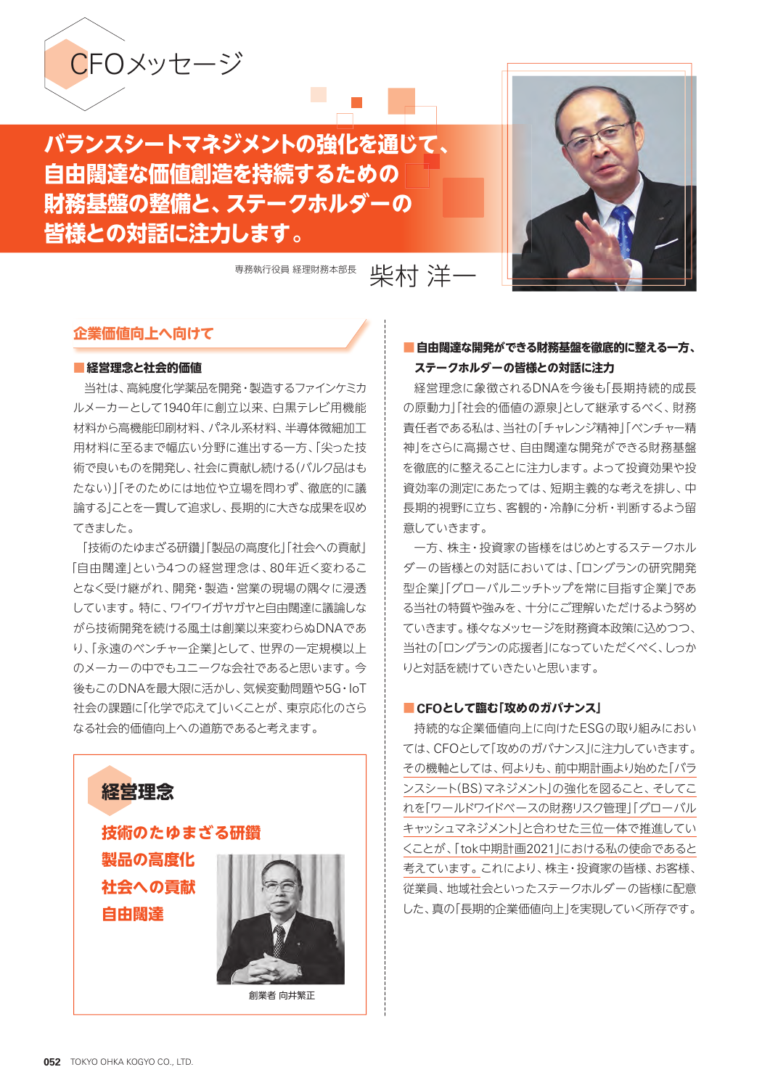

# **バランスシートマネジメントの強化を通じて、 自由闊達な価値創造を持続するための 財務基盤の整備と、ステークホルダーの 皆様との対話に注力します。**

事務執行役員 経理財務本部長 上半十六十一



## **企業価値向上へ向けて**

#### **■経営理念と社会的価値**

当社は、高純度化学薬品を開発・製造するファインケミカ ルメーカーとして1940年に創立以来、白黒テレビ用機能 材料から高機能印刷材料、パネル系材料、半導体微細加工 用材料に至るまで幅広い分野に進出する一方、「尖った技 術で良いものを開発し、社会に貢献し続ける(バルク品はも たない)」「そのためには地位や立場を問わず、徹底的に議 論する」ことを一貫して追求し、長期的に大きな成果を収め てきました。

「技術のたゆまざる研鑽」「製品の高度化」「社会への貢献」 「自由闊達」という4つの経営理念は、80年近く変わるこ となく受け継がれ、開発・製造・営業の現場の隅々に浸透 しています。特に、ワイワイガヤガヤと自由闊達に議論しな がら技術開発を続ける風土は創業以来変わらぬDNAであ り、「永遠のベンチャー企業」として、世界の一定規模以上 のメーカーの中でもユニークな会社であると思います。今 後もこのDNAを最大限に活かし、気候変動問題や5G・IoT 社会の課題に「化学で応えて」いくことが、東京応化のさら なる社会的価値向上への道筋であると考えます。



創業者 向井繁正

### **■ 自由闊達な開発ができる財務基盤を徹底的に整える一方、 ステークホルダーの皆様との対話に注力**

経営理念に象徴されるDNAを今後も「長期持続的成長 の原動力」「社会的価値の源泉」として継承するべく、財務 責任者である私は、当社の「チャレンジ精神」「ベンチャー精 神」をさらに高揚させ、自由闊達な開発ができる財務基盤 を徹底的に整えることに注力します。よって投資効果や投 資効率の測定にあたっては、短期主義的な考えを排し、中 長期的視野に立ち、客観的・冷静に分析・判断するよう留 意していきます。

一方、株主・投資家の皆様をはじめとするステークホル ダーの皆様との対話においては、「ロングランの研究開発 型企業」「グローバルニッチトップを常に目指す企業」であ る当社の特質や強みを、十分にご理解いただけるよう努め ていきます。様々なメッセージを財務資本政策に込めつつ、 当社の「ロングランの応援者」になっていただくべく、しっか りと対話を続けていきたいと思います。

#### **■ CFOとして臨む「攻めのガバナンス」**

持続的な企業価値向上に向けたESGの取り組みにおい ては、CFOとして「攻めのガバナンス」に注力していきます。 その機軸としては、何よりも、前中期計画より始めた「バラ ンスシート(BS)マネジメント」の強化を図ること、そしてこ れを「ワールドワイドベースの財務リスク管理」「グローバル キャッシュマネジメント」と合わせた三位一体で推進してい くことが、「tok中期計画2021」における私の使命であると 考えています。これにより、株主・投資家の皆様、お客様、 従業員、地域社会といったステークホルダーの皆様に配意 した、真の「長期的企業価値向上」を実現していく所存です。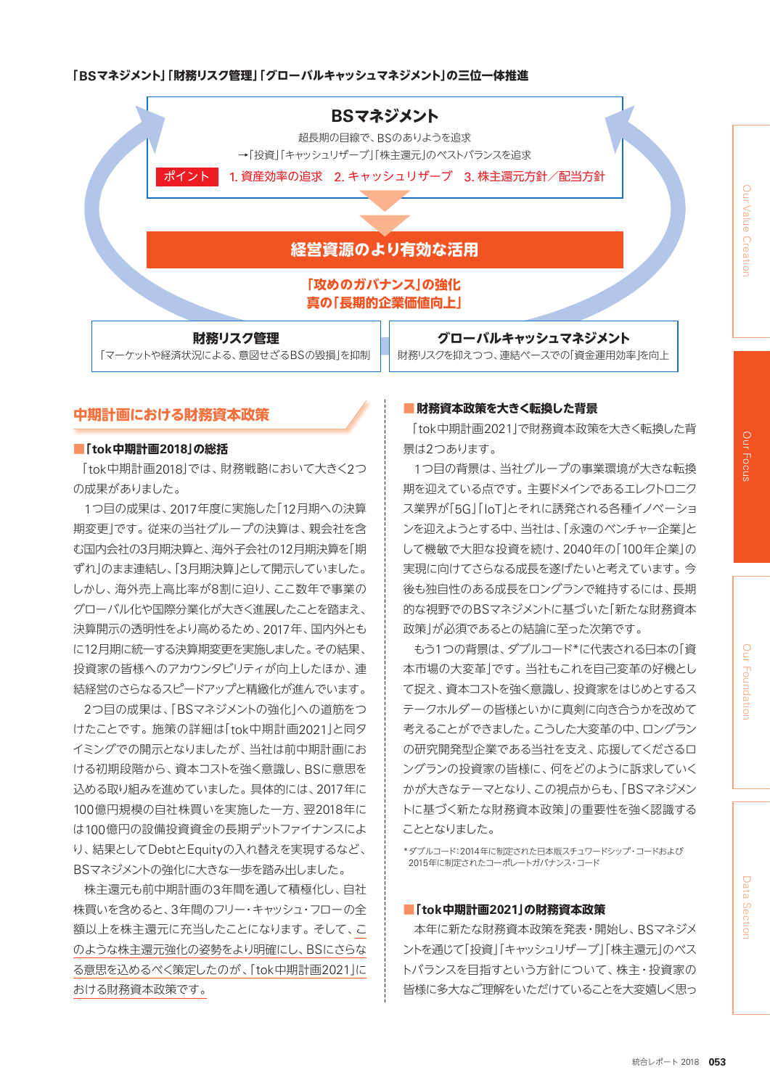#### **「BSマネジメント」「財務リスク管理」「グローバルキャッシュマネジメント」の三位一体推進**



# **中期計画における財務資本政策**

#### **■「tok中期計画2018」の総括**

「tok中期計画2018」では、財務戦略において大きく2つ の成果がありました。

1つ目の成果は、2017年度に実施した「12月期への決算 期変更」です。従来の当社グループの決算は、親会社を含 む国内会社の3月期決算と、海外子会社の12月期決算を「期 ずれ」のまま連結し、「3月期決算」として開示していました。 しかし、海外売上高比率が8割に迫り、ここ数年で事業の グローバル化や国際分業化が大きく進展したことを踏まえ、 決算開示の透明性をより高めるため、2017年、国内外とも に12月期に統一する決算期変更を実施しました。その結果、 投資家の皆様へのアカウンタビリティが向上したほか、連 結経営のさらなるスピードアップと精緻化が進んでいます。

2つ目の成果は、「BSマネジメントの強化」への道筋をつ けたことです。施策の詳細は「tok中期計画2021」と同タ イミングでの開示となりましたが、当社は前中期計画にお ける初期段階から、資本コストを強く意識し、BSに意思を 込める取り組みを進めていました。具体的には、2017年に 100億円規模の自社株買いを実施した一方、翌2018年に は100億円の設備投資資金の長期デットファイナンスによ り、結果としてDebtとEquityの入れ替えを実現するなど、 BSマネジメントの強化に大きな一歩を踏み出しました。

株主還元も前中期計画の3年間を通して積極化し、自社 株買いを含めると、3年間のフリー・キャッシュ・フローの全 額以上を株主還元に充当したことになります。そして、こ のような株主還元強化の姿勢をより明確にし、BSにさらな る意思を込めるべく策定したのが、「tok中期計画2021」に おける財務資本政策です。

#### **■ 財務資本政策を大きく転換した背景**

「tok中期計画2021」で財務資本政策を大きく転換した背 景は2つあります。

1つ目の背景は、当社グループの事業環境が大きな転換 期を迎えている点です。主要ドメインであるエレクトロニク ス業界が「5G」「IoT」とそれに誘発される各種イノベーショ ンを迎えようとする中、当社は、「永遠のベンチャー企業」と して機敏で大胆な投資を続け、2040年の「100年企業」の 実現に向けてさらなる成長を遂げたいと考えています。今 後も独自性のある成長をロングランで維持するには、長期 的な視野でのBSマネジメントに基づいた「新たな財務資本 政策」が必須であるとの結論に至った次第です。

もう1つの背景は、ダブルコード\*に代表される日本の「資 本市場の大変革」です。当社もこれを自己変革の好機とし て捉え、資本コストを強く意識し、投資家をはじめとするス テークホルダーの皆様といかに真剣に向き合うかを改めて 考えることができました。こうした大変革の中、ロングラン の研究開発型企業である当社を支え、応援してくださるロ ングランの投資家の皆様に、何をどのように訴求していく かが大きなテーマとなり、この視点からも、「BSマネジメン トに基づく新たな財務資本政策」の重要性を強く認識する こととなりました。

\*ダブルコード:2014年に制定された日本版スチュワードシップ・コードおよび 2015年に制定されたコーポレートガバナンス・コード

#### **■「tok中期計画2021」の財務資本政策**

本年に新たな財務資本政策を発表・開始し、BSマネジメ ントを通じて「投資」「キャッシュリザーブ」「株主還元」のベス トバランスを目指すという方針について、株主・投資家の 皆様に多大なご理解をいただけていることを大変嬉しく思っ Our Focus

Our Focus

Our Value Creation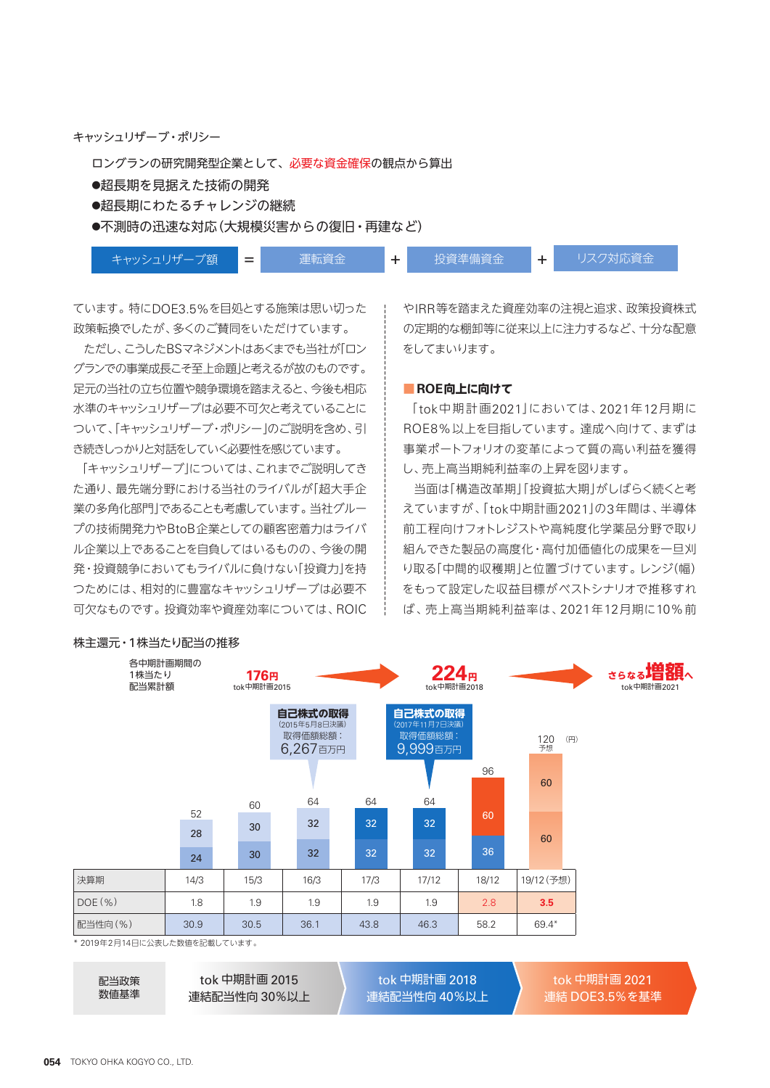キャッシュリザーブ・ポリシー

ロングランの研究開発型企業として、必要な資金確保の観点から算出

- ●超長期を見据えた技術の開発
- ●超長期にわたるチャレンジの継続

●不測時の迅速な対応(大規模災害からの復旧・再建など)

キャッシュリザーブ額 ■■■■■■■■ 運転資金 → ■ → ■ 投資準備資金 → → リスク対応資金

ています。特にDOE3.5%を目処とする施策は思い切った 政策転換でしたが、多くのご賛同をいただけています。

ただし、こうしたBSマネジメントはあくまでも当社が「ロン グランでの事業成長こそ至上命題」と考えるが故のものです。 足元の当社の立ち位置や競争環境を踏まえると、今後も相応 水準のキャッシュリザーブは必要不可欠と考えていることに ついて、「キャッシュリザーブ・ポリシー」のご説明を含め、引 き続きしっかりと対話をしていく必要性を感じています。

「キャッシュリザーブ」については、これまでご説明してき た通り、最先端分野における当社のライバルが「超大手企 業の多角化部門」であることも考慮しています。当社グルー プの技術開発力やBtoB企業としての顧客密着力はライバ ル企業以上であることを自負してはいるものの、今後の開 発・投資競争においてもライバルに負けない「投資力」を持 つためには、相対的に豊富なキャッシュリザーブは必要不 可欠なものです。投資効率や資産効率については、ROIC

やIRR等を踏まえた資産効率の注視と追求、政策投資株式 の定期的な棚卸等に従来以上に注力するなど、十分な配意 をしてまいります。

#### **■ ROE向上に向けて**

「tok中期計画2021」においては、2021年12月期に ROE8%以上を目指しています。達成へ向けて、まずは 事業ポートフォリオの変革によって質の高い利益を獲得 し、売上高当期純利益率の上昇を図ります。

当面は「構造改革期」「投資拡大期」がしばらく続くと考 えていますが、「tok中期計画2021」の3年間は、半導体 前工程向けフォトレジストや高純度化学薬品分野で取り 組んできた製品の高度化・高付加価値化の成果を一旦刈 り取る「中間的収穫期」と位置づけています。レンジ(幅) をもって設定した収益目標がベストシナリオで推移すれ ば、売上高当期純利益率は、2021年12月期に10%前

| 各中期計画期間の<br>1株当たり<br>配当累計額   |          | 176円<br>tok中期計画2015 |                                                 |      | 224 <sub>B</sub><br>tok中期計画2018                  |       |                             | さらなる増額へ<br>tok中期計画2021 |
|------------------------------|----------|---------------------|-------------------------------------------------|------|--------------------------------------------------|-------|-----------------------------|------------------------|
|                              |          |                     | 自己株式の取得<br>(2015年5月8日決議)<br>取得価額総額:<br>6,267百万円 |      | 自己株式の取得<br>(2017年11月7日決議)<br>取得価額総額:<br>9,999百万円 |       | 120<br>$(\mathbb{H})$<br>予想 |                        |
|                              |          |                     |                                                 |      |                                                  | 96    | 60                          |                        |
|                              |          | 60                  | 64                                              | 64   | 64                                               |       |                             |                        |
|                              | 52<br>28 | 30                  | 32                                              | 32   | 32                                               | 60    | 60                          |                        |
|                              | 24       | 30                  | 32                                              | 32   | 32                                               | 36    |                             |                        |
| 決算期                          | 14/3     | 15/3                | 16/3                                            | 17/3 | 17/12                                            | 18/12 | 19/12 (予想)                  |                        |
| $DOE(\% )$                   | 1.8      | 1.9                 | 1.9                                             | 1.9  | 1.9                                              | 2.8   | 3.5                         |                        |
| 配当性向(%)                      | 30.9     | 30.5                | 36.1                                            | 43.8 | 46.3                                             | 58.2  | 69.4*                       |                        |
| * 2019年2月14日に公表した数値を記載しています。 |          |                     |                                                 |      |                                                  |       |                             |                        |

## 株主還元・1株当たり配当の推移

配当政策 数値基準

tok 中期計画 2015 連結配当性向 30%以上

tok 中期計画 2018 連結配当性向 40%以上

tok 中期計画 2021 連結 DOE3.5%を基準